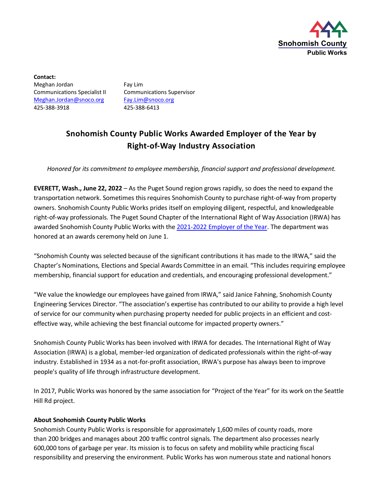

**Contact:** Meghan Jordan Fay Lim Communications Specialist II Communications Supervisor [Meghan.Jordan@snoco.org](mailto:Meghan.Jordan@snoco.org) [Fay.Lim@snoco.org](mailto:Fay.Lim@snoco.org) 425-388-3918 425-388-6413

## **Snohomish County Public Works Awarded Employer of the Year by Right-of-Way Industry Association**

*Honored for its commitment to employee membership, financial support and professional development.*

**EVERETT, Wash., June 22, 2022** – As the Puget Sound region grows rapidly, so does the need to expand the transportation network. Sometimes this requires Snohomish County to purchase right-of-way from property owners. Snohomish County Public Works prides itself on employing diligent, respectful, and knowledgeable right-of-way professionals. The Puget Sound Chapter of the International Right of Way Association (IRWA) has awarded Snohomish County Public Works with the 2021-2022 [Employer of the Year.](https://irwachapter4.org/awards) The department was honored at an awards ceremony held on June 1.

"Snohomish County was selected because of the significant contributions it has made to the IRWA," said the Chapter's Nominations, Elections and Special Awards Committee in an email. "This includes requiring employee membership, financial support for education and credentials, and encouraging professional development."

"We value the knowledge our employees have gained from IRWA," said Janice Fahning, Snohomish County Engineering Services Director. "The association's expertise has contributed to our ability to provide a high level of service for our community when purchasing property needed for public projects in an efficient and costeffective way, while achieving the best financial outcome for impacted property owners."

Snohomish County Public Works has been involved with IRWA for decades. The International Right of Way Association (IRWA) is a global, member-led organization of dedicated professionals within the right-of-way industry. Established in 1934 as a not-for-profit association, IRWA's purpose has always been to improve people's quality of life through infrastructure development.

In 2017, Public Works was honored by the same association for "Project of the Year" for its work on the Seattle Hill Rd project.

## **About Snohomish County Public Works**

Snohomish County Public Works is responsible for approximately 1,600 miles of county roads, more than 200 bridges and manages about 200 traffic control signals. The department also processes nearly 600,000 tons of garbage per year. Its mission is to focus on safety and mobility while practicing fiscal responsibility and preserving the environment. Public Works has won numerous state and national honors